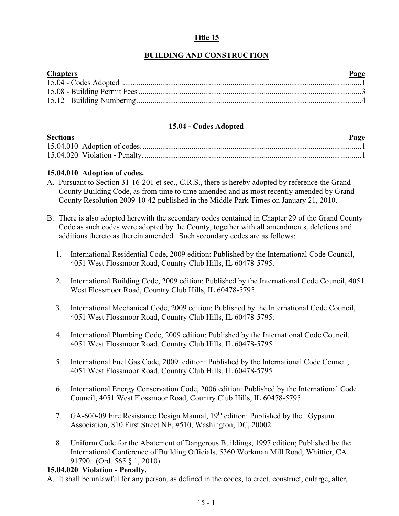# **Title 15**

# **BUILDING AND CONSTRUCTION**

| <b>Chapters</b> | Page |
|-----------------|------|
|                 |      |
|                 |      |
|                 |      |

### **15.04 - Codes Adopted**

<span id="page-0-0"></span>

| <b>Sections</b> | Page |  |
|-----------------|------|--|
|                 |      |  |
|                 |      |  |

### **15.04.010 Adoption of codes.**

- A. Pursuant to Section 31-16-201 et seq., C.R.S., there is hereby adopted by reference the Grand County Building Code, as from time to time amended and as most recently amended by Grand County Resolution 2009-10-42 published in the Middle Park Times on January 21, 2010.
- B. There is also adopted herewith the secondary codes contained in Chapter 29 of the Grand County Code as such codes were adopted by the County, together with all amendments, deletions and additions thereto as therein amended. Such secondary codes are as follows:
	- 1. International Residential Code, 2009 edition: Published by the International Code Council, 4051 West Flossmoor Road, Country Club Hills, IL 60478-5795.
	- 2. International Building Code, 2009 edition: Published by the International Code Council, 4051 West Flossmoor Road, Country Club Hills, IL 60478-5795.
	- 3. International Mechanical Code, 2009 edition: Published by the International Code Council, 4051 West Flossmoor Road, Country Club Hills, IL 60478-5795.
	- 4. International Plumbing Code, 2009 edition: Published by the International Code Council, 4051 West Flossmoor Road, Country Club Hills, IL 60478-5795.
	- 5. International Fuel Gas Code, 2009 edition: Published by the International Code Council, 4051 West Flossmoor Road, Country Club Hills, IL 60478-5795.
	- 6. International Energy Conservation Code, 2006 edition: Published by the International Code Council, 4051 West Flossmoor Road, Country Club Hills, IL 60478-5795.
	- 7. GA-600-09 Fire Resistance Design Manual, 19<sup>th</sup> edition: Published by the Gypsum Association, 810 First Street NE, #510, Washington, DC, 20002.
	- 8. Uniform Code for the Abatement of Dangerous Buildings, 1997 edition; Published by the International Conference of Building Officials, 5360 Workman Mill Road, Whittier, CA 91790. (Ord. 565 § 1, 2010)

### **15.04.020 Violation - Penalty.**

A. It shall be unlawful for any person, as defined in the codes, to erect, construct, enlarge, alter,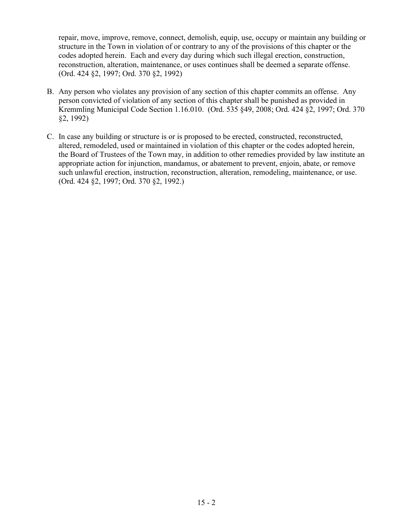repair, move, improve, remove, connect, demolish, equip, use, occupy or maintain any building or structure in the Town in violation of or contrary to any of the provisions of this chapter or the codes adopted herein. Each and every day during which such illegal erection, construction, reconstruction, alteration, maintenance, or uses continues shall be deemed a separate offense. (Ord. 424 §2, 1997; Ord. 370 §2, 1992)

- B. Any person who violates any provision of any section of this chapter commits an offense. Any person convicted of violation of any section of this chapter shall be punished as provided in Kremmling Municipal Code Section 1.16.010. (Ord. 535 §49, 2008; Ord. 424 §2, 1997; Ord. 370 §2, 1992)
- C. In case any building or structure is or is proposed to be erected, constructed, reconstructed, altered, remodeled, used or maintained in violation of this chapter or the codes adopted herein, the Board of Trustees of the Town may, in addition to other remedies provided by law institute an appropriate action for injunction, mandamus, or abatement to prevent, enjoin, abate, or remove such unlawful erection, instruction, reconstruction, alteration, remodeling, maintenance, or use. (Ord. 424 §2, 1997; Ord. 370 §2, 1992.)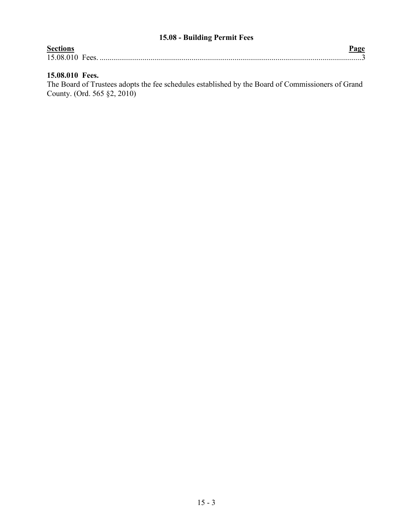# **15.08 - Building Permit Fees**

<span id="page-2-0"></span>

| <b>Sections</b> |  |
|-----------------|--|
| 15.08.010 Fees. |  |
|                 |  |

# **15.08.010 Fees.**

The Board of Trustees adopts the fee schedules established by the Board of Commissioners of Grand County. (Ord. 565 §2, 2010)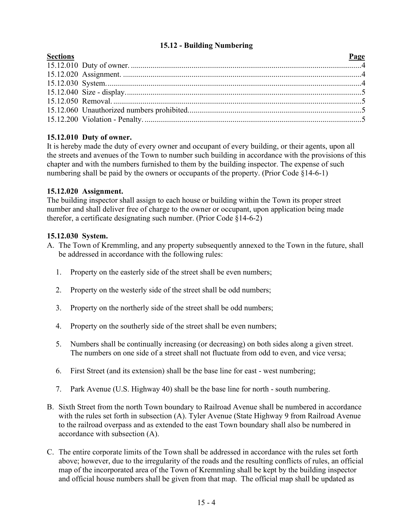## **15.12 - Building Numbering**

<span id="page-3-0"></span>

## **15.12.010 Duty of owner.**

It is hereby made the duty of every owner and occupant of every building, or their agents, upon all the streets and avenues of the Town to number such building in accordance with the provisions of this chapter and with the numbers furnished to them by the building inspector. The expense of such numbering shall be paid by the owners or occupants of the property. (Prior Code §14-6-1)

## **15.12.020 Assignment.**

The building inspector shall assign to each house or building within the Town its proper street number and shall deliver free of charge to the owner or occupant, upon application being made therefor, a certificate designating such number. (Prior Code §14-6-2)

### **15.12.030 System.**

- A. The Town of Kremmling, and any property subsequently annexed to the Town in the future, shall be addressed in accordance with the following rules:
	- 1. Property on the easterly side of the street shall be even numbers;
	- 2. Property on the westerly side of the street shall be odd numbers;
	- 3. Property on the northerly side of the street shall be odd numbers;
	- 4. Property on the southerly side of the street shall be even numbers;
	- 5. Numbers shall be continually increasing (or decreasing) on both sides along a given street. The numbers on one side of a street shall not fluctuate from odd to even, and vice versa;
	- 6. First Street (and its extension) shall be the base line for east west numbering;
	- 7. Park Avenue (U.S. Highway 40) shall be the base line for north south numbering.
- B. Sixth Street from the north Town boundary to Railroad Avenue shall be numbered in accordance with the rules set forth in subsection (A). Tyler Avenue (State Highway 9 from Railroad Avenue to the railroad overpass and as extended to the east Town boundary shall also be numbered in accordance with subsection (A).
- C. The entire corporate limits of the Town shall be addressed in accordance with the rules set forth above; however, due to the irregularity of the roads and the resulting conflicts of rules, an official map of the incorporated area of the Town of Kremmling shall be kept by the building inspector and official house numbers shall be given from that map. The official map shall be updated as